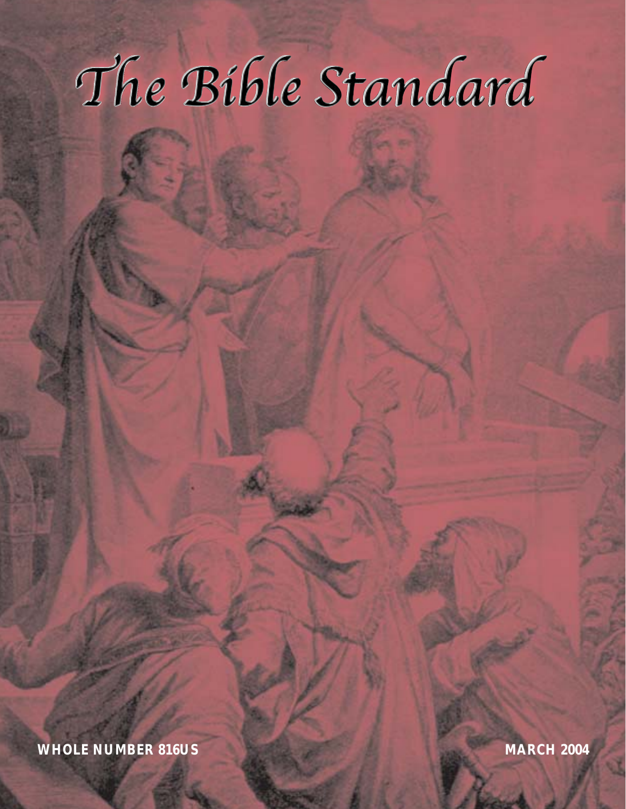# The Bible Standard

**WHOLE NUMBER 816US MARCH 2004**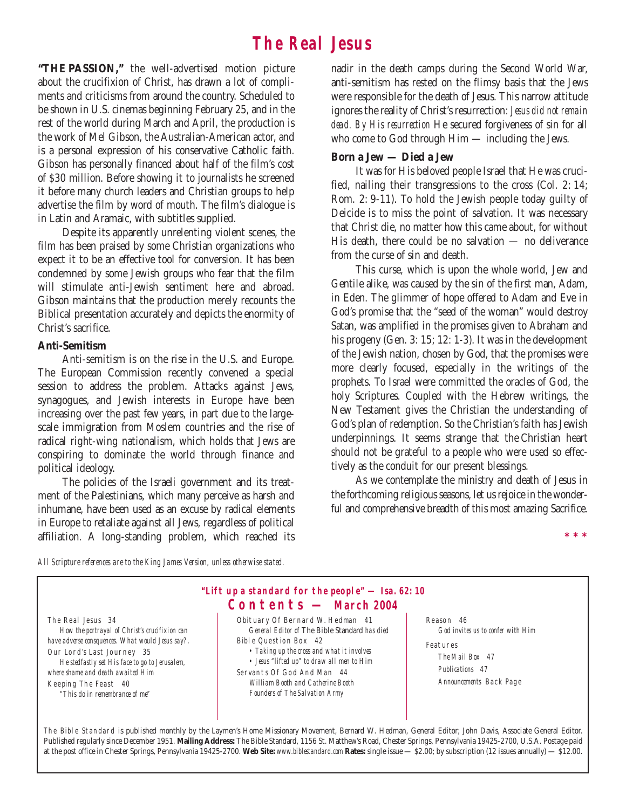# **The Real Jesus**

**"THE PASSION,"** the well-advertised motion picture about the crucifixion of Christ, has drawn a lot of compliments and criticisms from around the country. Scheduled to be shown in U.S. cinemas beginning February 25, and in the rest of the world during March and April, the production is the work of Mel Gibson, the Australian-American actor, and is a personal expression of his conservative Catholic faith. Gibson has personally financed about half of the film's cost of \$30 million. Before showing it to journalists he screened it before many church leaders and Christian groups to help advertise the film by word of mouth. The film's dialogue is in Latin and Aramaic, with subtitles supplied.

Despite its apparently unrelenting violent scenes, the film has been praised by some Christian organizations who expect it to be an effective tool for conversion. It has been condemned by some Jewish groups who fear that the film will stimulate anti-Jewish sentiment here and abroad. Gibson maintains that the production merely recounts the Biblical presentation accurately and depicts the enormity of Christ's sacrifice.

# **Anti-Semitism**

Anti-semitism is on the rise in the U.S. and Europe. The European Commission recently convened a special session to address the problem. Attacks against Jews, synagogues, and Jewish interests in Europe have been increasing over the past few years, in part due to the largescale immigration from Moslem countries and the rise of radical right-wing nationalism, which holds that Jews are conspiring to dominate the world through finance and political ideology.

The policies of the Israeli government and its treatment of the Palestinians, which many perceive as harsh and inhumane, have been used as an excuse by radical elements in Europe to retaliate against all Jews, regardless of political affiliation. A long-standing problem, which reached its nadir in the death camps during the Second World War, anti-semitism has rested on the flimsy basis that the Jews were responsible for the death of Jesus. This narrow attitude ignores the reality of Christ's resurrection: *Jesus did not remain dead. By His resurrection* He secured forgiveness of sin for all who come to God through Him — including the Jews.

# **Born a Jew — Died a Jew**

It was for His beloved people Israel that He was crucified, nailing their transgressions to the cross (Col. 2: 14; Rom. 2: 9-11). To hold the Jewish people today guilty of Deicide is to miss the point of salvation. It was necessary that Christ die, no matter how this came about, for without His death, there could be no salvation — no deliverance from the curse of sin and death.

This curse, which is upon the whole world, Jew and Gentile alike, was caused by the sin of the first man, Adam, in Eden. The glimmer of hope offered to Adam and Eve in God's promise that the "seed of the woman" would destroy Satan, was amplified in the promises given to Abraham and his progeny (Gen. 3: 15; 12: 1-3). It was in the development of the Jewish nation, chosen by God, that the promises were more clearly focused, especially in the writings of the prophets. To Israel were committed the oracles of God, the holy Scriptures. Coupled with the Hebrew writings, the New Testament gives the Christian the understanding of God's plan of redemption. So the Christian's faith has Jewish underpinnings. It seems strange that the Christian heart should not be grateful to a people who were used so effectively as the conduit for our present blessings.

As we contemplate the ministry and death of Jesus in the forthcoming religious seasons, let us rejoice in the wonderful and comprehensive breadth of this most amazing Sacrifice.

**\*\*\***

*All Scripture references are to the King James Version, unless otherwise stated.*



The Bible Standard is published monthly by the Laymen's Home Missionary Movement, Bernard W. Hedman, General Editor; John Davis, Associate General Editor. Published regularly since December 1951. **Mailing Address:** The Bible Standard, 1156 St. Matthew's Road, Chester Springs, Pennsylvania 19425-2700, U.S.A. Postage paid at the post office in Chester Springs, Pennsylvania 19425-2700. **Web Site:** *www.biblestandard.com* **Rates:** single issue — \$2.00; by subscription (12 issues annually) — \$12.00.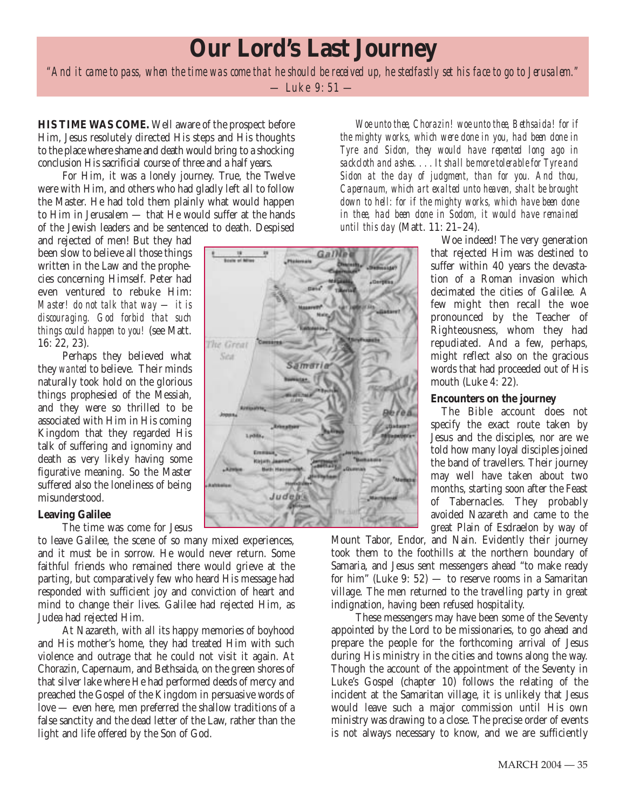# **Our Lord's Last Journey**

*"And it came to pass, when the time was come that he should be received up, he stedfastly set his face to go to Jerusalem."* — Luke 9: 51 —

**HIS TIME WAS COME.** Well aware of the prospect before Him, Jesus resolutely directed His steps and His thoughts to the place where shame and death would bring to a shocking conclusion His sacrificial course of three and a half years.

For Him, it was a lonely journey. True, the Twelve were with Him, and others who had gladly left all to follow the Master. He had told them plainly what would happen to Him in Jerusalem — that He would suffer at the hands of the Jewish leaders and be sentenced to death. Despised

and rejected of men! But they had been slow to believe all those things written in the Law and the prophecies concerning Himself. Peter had even ventured to rebuke Him: *Master! do not talk that way — it is discouraging. God forbid that such things could happen to you!* (see Matt. 16: 22, 23).

Perhaps they believed what they *wanted* to believe. Their minds naturally took hold on the glorious things prophesied of the Messiah, and they were so thrilled to be associated with Him in His coming Kingdom that they regarded His talk of suffering and ignominy and death as very likely having some figurative meaning. So the Master suffered also the loneliness of being misunderstood.

# **Leaving Galilee**

The time was come for Jesus

to leave Galilee, the scene of so many mixed experiences, and it must be in sorrow. He would never return. Some faithful friends who remained there would grieve at the parting, but comparatively few who heard His message had responded with sufficient joy and conviction of heart and mind to change their lives. Galilee had rejected Him, as Judea had rejected Him.

At Nazareth, with all its happy memories of boyhood and His mother's home, they had treated Him with such violence and outrage that he could not visit it again. At Chorazin, Capernaum, and Bethsaida, on the green shores of that silver lake where He had performed deeds of mercy and preached the Gospel of the Kingdom in persuasive words of love — even here, men preferred the shallow traditions of a false sanctity and the dead letter of the Law, rather than the light and life offered by the Son of God.

*Woe unto thee, Chorazin! woe unto thee, Bethsaida! for if the mighty works, which were done in you, had been done in Tyre and Sidon, they would have repented long ago in sackcloth and ashes. ... It shall be more tolerable for Tyre and Sidon at the day of judgment, than for you. And thou, Capernaum, which art exalted unto heaven, shalt be brought down to hell: for if the mighty works, which have been done in thee, had been done in Sodom, it would have remained until this day* (Matt. 11: 21–24).

> Woe indeed! The very generation that rejected Him was destined to suffer within 40 years the devastation of a Roman invasion which decimated the cities of Galilee. A few might then recall the woe pronounced by the Teacher of Righteousness, whom they had repudiated. And a few, perhaps, might reflect also on the gracious words that had proceeded out of His mouth (Luke 4: 22).

# **Encounters on the journey**

The Bible account does not specify the exact route taken by Jesus and the disciples, nor are we told how many loyal disciples joined the band of travellers. Their journey may well have taken about two months, starting soon after the Feast of Tabernacles. They probably avoided Nazareth and came to the great Plain of Esdraelon by way of

Mount Tabor, Endor, and Nain. Evidently their journey took them to the foothills at the northern boundary of Samaria, and Jesus sent messengers ahead "to make ready for him" (Luke 9:  $52$ ) — to reserve rooms in a Samaritan village. The men returned to the travelling party in great indignation, having been refused hospitality.

These messengers may have been some of the Seventy appointed by the Lord to be missionaries, to go ahead and prepare the people for the forthcoming arrival of Jesus during His ministry in the cities and towns along the way. Though the account of the appointment of the Seventy in Luke's Gospel (chapter 10) follows the relating of the incident at the Samaritan village, it is unlikely that Jesus would leave such a major commission until His own ministry was drawing to a close. The precise order of events is not always necessary to know, and we are sufficiently

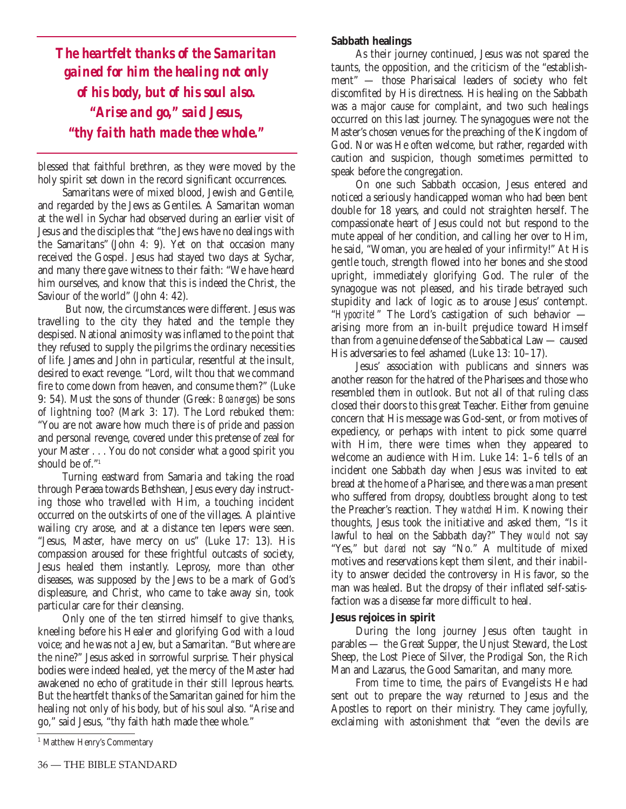*The heartfelt thanks of the Samaritan gained for him the healing not only of his body, but of his soul also. "Arise and go," said Jesus, "thy faith hath made thee whole."*

blessed that faithful brethren, as they were moved by the holy spirit set down in the record significant occurrences.

Samaritans were of mixed blood, Jewish and Gentile, and regarded by the Jews as Gentiles. A Samaritan woman at the well in Sychar had observed during an earlier visit of Jesus and the disciples that "the Jews have no dealings with the Samaritans" (John 4: 9). Yet on that occasion many received the Gospel. Jesus had stayed two days at Sychar, and many there gave witness to their faith: "We have heard him ourselves, and know that this is indeed the Christ, the Saviour of the world" (John 4: 42).

But now, the circumstances were different. Jesus was travelling to the city they hated and the temple they despised. National animosity was inflamed to the point that they refused to supply the pilgrims the ordinary necessities of life. James and John in particular, resentful at the insult, desired to exact revenge. "Lord, wilt thou that we command fire to come down from heaven, and consume them?" (Luke 9: 54). Must the sons of thunder (Greek: *Boanerges*) be sons of lightning too? (Mark 3: 17). The Lord rebuked them: "You are not aware how much there is of pride and passion and personal revenge, covered under this pretense of zeal for your Master . . . You do not consider what a good spirit you should be of."<sup>1</sup>

Turning eastward from Samaria and taking the road through Peraea towards Bethshean, Jesus every day instructing those who travelled with Him, a touching incident occurred on the outskirts of one of the villages. A plaintive wailing cry arose, and at a distance ten lepers were seen. "Jesus, Master, have mercy on us" (Luke 17: 13). His compassion aroused for these frightful outcasts of society, Jesus healed them instantly. Leprosy, more than other diseases, was supposed by the Jews to be a mark of God's displeasure, and Christ, who came to take away sin, took particular care for their cleansing.

Only one of the ten stirred himself to give thanks, kneeling before his Healer and glorifying God with a loud voice; and he was not a Jew, but a Samaritan. "But where are the nine?" Jesus asked in sorrowful surprise. Their physical bodies were indeed healed, yet the mercy of the Master had awakened no echo of gratitude in their still leprous hearts. But the heartfelt thanks of the Samaritan gained for him the healing not only of his body, but of his soul also. "Arise and go," said Jesus, "thy faith hath made thee whole."

## **Sabbath healings**

As their journey continued, Jesus was not spared the taunts, the opposition, and the criticism of the "establishment" — those Pharisaical leaders of society who felt discomfited by His directness. His healing on the Sabbath was a major cause for complaint, and two such healings occurred on this last journey. The synagogues were not the Master's chosen venues for the preaching of the Kingdom of God. Nor was He often welcome, but rather, regarded with caution and suspicion, though sometimes permitted to speak before the congregation.

On one such Sabbath occasion, Jesus entered and noticed a seriously handicapped woman who had been bent double for 18 years, and could not straighten herself. The compassionate heart of Jesus could not but respond to the mute appeal of her condition, and calling her over to Him, he said, "Woman, you are healed of your infirmity!" At His gentle touch, strength flowed into her bones and she stood upright, immediately glorifying God. The ruler of the synagogue was not pleased, and his tirade betrayed such stupidity and lack of logic as to arouse Jesus' contempt. "*Hypocrite!*" The Lord's castigation of such behavior arising more from an in-built prejudice toward Himself than from a genuine defense of the Sabbatical Law — caused His adversaries to feel ashamed (Luke 13: 10–17).

Jesus' association with publicans and sinners was another reason for the hatred of the Pharisees and those who resembled them in outlook. But not all of that ruling class closed their doors to this great Teacher. Either from genuine concern that His message was God-sent, or from motives of expediency, or perhaps with intent to pick some quarrel with Him, there were times when they appeared to welcome an audience with Him. Luke 14: 1–6 tells of an incident one Sabbath day when Jesus was invited to eat bread at the home of a Pharisee, and there was a man present who suffered from dropsy, doubtless brought along to test the Preacher's reaction. They *watched* Him. Knowing their thoughts, Jesus took the initiative and asked them, "Is it lawful to heal on the Sabbath day?" They *would* not say "Yes," but *dared* not say "No." A multitude of mixed motives and reservations kept them silent, and their inability to answer decided the controversy in His favor, so the man was healed. But the dropsy of their inflated self-satisfaction was a disease far more difficult to heal.

## **Jesus rejoices in spirit**

During the long journey Jesus often taught in parables — the Great Supper, the Unjust Steward, the Lost Sheep, the Lost Piece of Silver, the Prodigal Son, the Rich Man and Lazarus, the Good Samaritan, and many more.

From time to time, the pairs of Evangelists He had sent out to prepare the way returned to Jesus and the Apostles to report on their ministry. They came joyfully, exclaiming with astonishment that "even the devils are

<sup>&</sup>lt;sup>1</sup> Matthew Henry's Commentary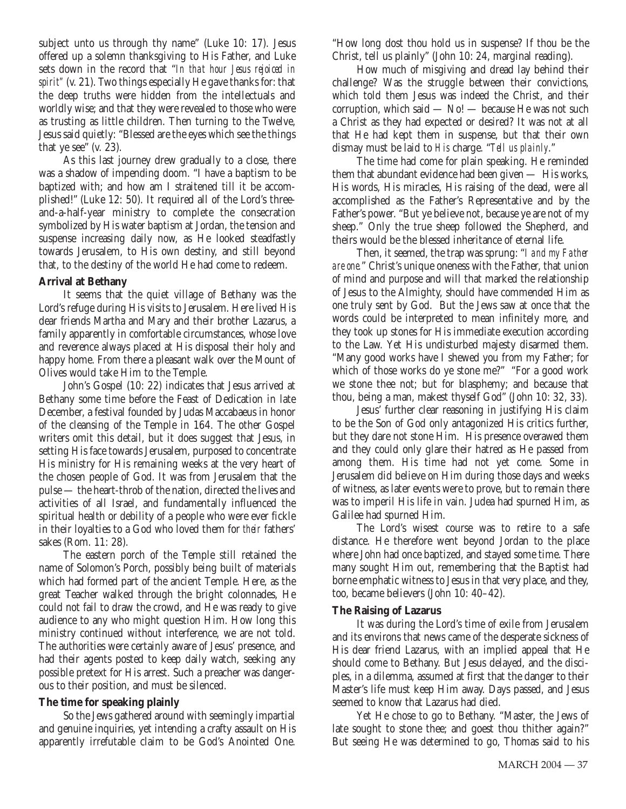subject unto us through thy name" (Luke 10: 17). Jesus offered up a solemn thanksgiving to His Father, and Luke sets down in the record that "*In that hour Jesus rejoiced in spirit"* (v. 21). Two things especially He gave thanks for: that the deep truths were hidden from the intellectuals and worldly wise; and that they were revealed to those who were as trusting as little children. Then turning to the Twelve, Jesus said quietly: "Blessed are the eyes which see the things that ye see" (v. 23).

As this last journey drew gradually to a close, there was a shadow of impending doom. "I have a baptism to be baptized with; and how am I straitened till it be accomplished!" (Luke 12: 50). It required all of the Lord's threeand-a-half-year ministry to complete the consecration symbolized by His water baptism at Jordan, the tension and suspense increasing daily now, as He looked steadfastly towards Jerusalem, to His own destiny, and still beyond that, to the destiny of the world He had come to redeem.

# **Arrival at Bethany**

It seems that the quiet village of Bethany was the Lord's refuge during His visits to Jerusalem. Here lived His dear friends Martha and Mary and their brother Lazarus, a family apparently in comfortable circumstances, whose love and reverence always placed at His disposal their holy and happy home. From there a pleasant walk over the Mount of Olives would take Him to the Temple.

John's Gospel (10: 22) indicates that Jesus arrived at Bethany some time before the Feast of Dedication in late December, a festival founded by Judas Maccabaeus in honor of the cleansing of the Temple in 164. The other Gospel writers omit this detail, but it does suggest that Jesus, in setting His face towards Jerusalem, purposed to concentrate His ministry for His remaining weeks at the very heart of the chosen people of God. It was from Jerusalem that the pulse — the heart-throb of the nation, directed the lives and activities of all Israel, and fundamentally influenced the spiritual health or debility of a people who were ever fickle in their loyalties to a God who loved them for *their* fathers' sakes (Rom. 11: 28).

The eastern porch of the Temple still retained the name of Solomon's Porch, possibly being built of materials which had formed part of the ancient Temple. Here, as the great Teacher walked through the bright colonnades, He could not fail to draw the crowd, and He was ready to give audience to any who might question Him. How long this ministry continued without interference, we are not told. The authorities were certainly aware of Jesus' presence, and had their agents posted to keep daily watch, seeking any possible pretext for His arrest. Such a preacher was dangerous to their position, and must be silenced.

# **The time for speaking plainly**

So the Jews gathered around with seemingly impartial and genuine inquiries, yet intending a crafty assault on His apparently irrefutable claim to be God's Anointed One. "How long dost thou hold us in suspense? If thou be the Christ, tell us plainly" (John 10: 24, marginal reading).

How much of misgiving and dread lay behind their challenge? Was the struggle between their convictions, which told them Jesus was indeed the Christ, and their corruption, which said — No! — because He was not such a Christ as they had expected or desired? It was not at all that He had kept them in suspense, but that their own dismay must be laid to *His* charge. "*Tell us plainly*."

The time had come for plain speaking. He reminded them that abundant evidence had been given — His works, His words, His miracles, His raising of the dead, were all accomplished as the Father's Representative and by the Father's power. "But ye believe not, because ye are not of my sheep." Only the true sheep followed the Shepherd, and theirs would be the blessed inheritance of eternal life.

Then, it seemed, the trap was sprung: "*I and my Father are one.*" Christ's unique oneness with the Father, that union of mind and purpose and will that marked the relationship of Jesus to the Almighty, should have commended Him as one truly sent by God. But the Jews saw at once that the words could be interpreted to mean infinitely more, and they took up stones for His immediate execution according to the Law. Yet His undisturbed majesty disarmed them. "Many good works have I shewed you from my Father; for which of those works do ye stone me?" "For a good work we stone thee not; but for blasphemy; and because that thou, being a man, makest thyself God" (John 10: 32, 33).

Jesus' further clear reasoning in justifying His claim to be the Son of God only antagonized His critics further, but they dare not stone Him. His presence overawed them and they could only glare their hatred as He passed from among them. His time had not yet come. Some in Jerusalem did believe on Him during those days and weeks of witness, as later events were to prove, but to remain there was to imperil His life in vain. Judea had spurned Him, as Galilee had spurned Him.

The Lord's wisest course was to retire to a safe distance. He therefore went beyond Jordan to the place where John had once baptized, and stayed some time. There many sought Him out, remembering that the Baptist had borne emphatic witness to Jesus in that very place, and they, too, became believers (John 10: 40–42).

# **The Raising of Lazarus**

It was during the Lord's time of exile from Jerusalem and its environs that news came of the desperate sickness of His dear friend Lazarus, with an implied appeal that He should come to Bethany. But Jesus delayed, and the disciples, in a dilemma, assumed at first that the danger to their Master's life must keep Him away. Days passed, and Jesus seemed to know that Lazarus had died.

Yet He chose to go to Bethany. "Master, the Jews of late sought to stone thee; and goest thou thither again?" But seeing He was determined to go, Thomas said to his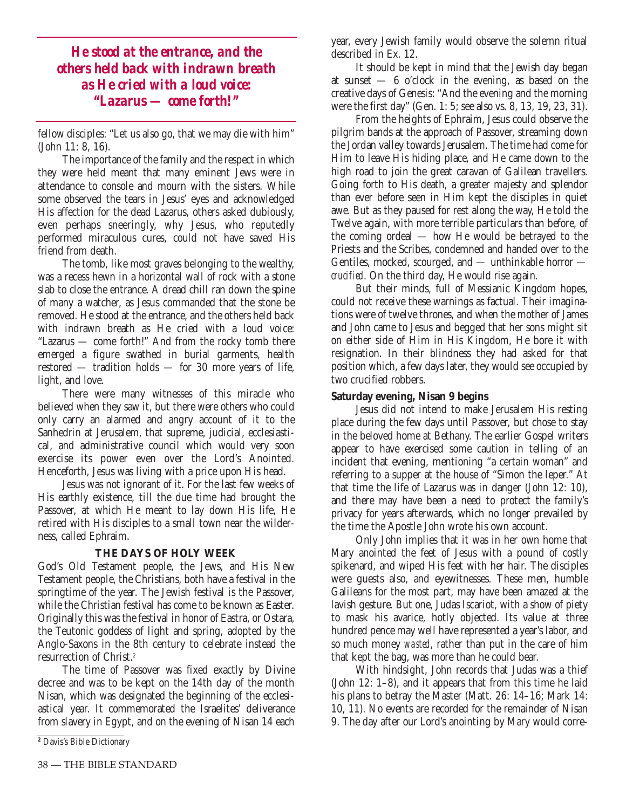*He stood at the entrance, and the others held back with indrawn breath as He cried with a loud voice: "Lazarus — come forth!"*

fellow disciples: "Let us also go, that we may die with him" (John 11: 8, 16).

The importance of the family and the respect in which they were held meant that many eminent Jews were in attendance to console and mourn with the sisters. While some observed the tears in Jesus' eyes and acknowledged His affection for the dead Lazarus, others asked dubiously, even perhaps sneeringly, why Jesus, who reputedly performed miraculous cures, could not have saved His friend from death.

The tomb, like most graves belonging to the wealthy, was a recess hewn in a horizontal wall of rock with a stone slab to close the entrance. A dread chill ran down the spine of many a watcher, as Jesus commanded that the stone be removed. He stood at the entrance, and the others held back with indrawn breath as He cried with a loud voice: "Lazarus — come forth!" And from the rocky tomb there emerged a figure swathed in burial garments, health restored — tradition holds — for 30 more years of life, light, and love.

There were many witnesses of this miracle who believed when they saw it, but there were others who could only carry an alarmed and angry account of it to the Sanhedrin at Jerusalem, that supreme, judicial, ecclesiastical, and administrative council which would very soon exercise its power even over the Lord's Anointed. Henceforth, Jesus was living with a price upon His head.

Jesus was not ignorant of it. For the last few weeks of His earthly existence, till the due time had brought the Passover, at which He meant to lay down His life, He retired with His disciples to a small town near the wilderness, called Ephraim.

## **THE DAYS OF HOLY WEEK**

God's Old Testament people, the Jews, and His New Testament people, the Christians, both have a festival in the springtime of the year. The Jewish festival is the Passover, while the Christian festival has come to be known as Easter. Originally this was the festival in honor of Eastra, or Ostara, the Teutonic goddess of light and spring, adopted by the Anglo-Saxons in the 8th century to celebrate instead the resurrection of Christ.<sup>2</sup>

The time of Passover was fixed exactly by Divine decree and was to be kept on the 14th day of the month Nisan, which was designated the beginning of the ecclesiastical year. It commemorated the Israelites' deliverance from slavery in Egypt, and on the evening of Nisan 14 each year, every Jewish family would observe the solemn ritual described in Ex. 12.

It should be kept in mind that the Jewish day began at sunset  $-6$  o'clock in the evening, as based on the creative days of Genesis: "And the evening and the morning were the first day" (Gen. 1: 5; see also vs. 8, 13, 19, 23, 31).

From the heights of Ephraim, Jesus could observe the pilgrim bands at the approach of Passover, streaming down the Jordan valley towards Jerusalem. The time had come for Him to leave His hiding place, and He came down to the high road to join the great caravan of Galilean travellers. Going forth to His death, a greater majesty and splendor than ever before seen in Him kept the disciples in quiet awe. But as they paused for rest along the way, He told the Twelve again, with more terrible particulars than before, of the coming ordeal — how He would be betrayed to the Priests and the Scribes, condemned and handed over to the Gentiles, mocked, scourged, and — unthinkable horror *crucified*. On the third day, He would rise again.

But their minds, full of Messianic Kingdom hopes, could not receive these warnings as factual. Their imaginations were of twelve thrones, and when the mother of James and John came to Jesus and begged that her sons might sit on either side of Him in His Kingdom, He bore it with resignation. In their blindness they had asked for that position which, a few days later, they would see occupied by two crucified robbers.

# **Saturday evening, Nisan 9 begins**

Jesus did not intend to make Jerusalem His resting place during the few days until Passover, but chose to stay in the beloved home at Bethany. The earlier Gospel writers appear to have exercised some caution in telling of an incident that evening, mentioning "a certain woman" and referring to a supper at the house of "Simon the leper." At that time the life of Lazarus was in danger (John 12: 10), and there may have been a need to protect the family's privacy for years afterwards, which no longer prevailed by the time the Apostle John wrote his own account.

Only John implies that it was in her own home that Mary anointed the feet of Jesus with a pound of costly spikenard, and wiped His feet with her hair. The disciples were guests also, and eyewitnesses. These men, humble Galileans for the most part, may have been amazed at the lavish gesture. But one, Judas Iscariot, with a show of piety to mask his avarice, hotly objected. Its value at three hundred pence may well have represented a year's labor, and so much money *wasted*, rather than put in the care of him that kept the bag, was more than he could bear.

With hindsight, John records that Judas was a thief (John 12: 1–8), and it appears that from this time he laid his plans to betray the Master (Matt. 26: 14-16; Mark 14: 10, 11). No events are recorded for the remainder of Nisan 9. The day after our Lord's anointing by Mary would corre-

**<sup>2</sup>** Davis's Bible Dictionary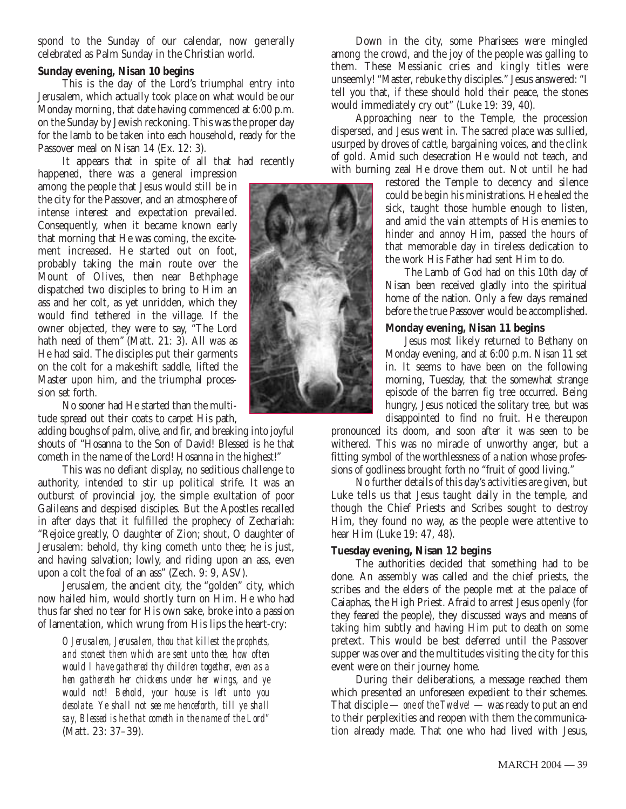spond to the Sunday of our calendar, now generally celebrated as Palm Sunday in the Christian world.

#### **Sunday evening, Nisan 10 begins**

This is the day of the Lord's triumphal entry into Jerusalem, which actually took place on what would be our Monday morning, that date having commenced at 6:00 p.m. on the Sunday by Jewish reckoning. This was the proper day for the lamb to be taken into each household, ready for the Passover meal on Nisan 14 (Ex. 12: 3).

It appears that in spite of all that had recently happened, there was a general impression among the people that Jesus would still be in the city for the Passover, and an atmosphere of intense interest and expectation prevailed. Consequently, when it became known early that morning that He was coming, the excitement increased. He started out on foot, probably taking the main route over the Mount of Olives, then near Bethphage dispatched two disciples to bring to Him an ass and her colt, as yet unridden, which they would find tethered in the village. If the owner objected, they were to say, "The Lord hath need of them" (Matt. 21: 3). All was as He had said. The disciples put their garments on the colt for a makeshift saddle, lifted the Master upon him, and the triumphal procession set forth.

No sooner had He started than the multitude spread out their coats to carpet His path,

adding boughs of palm, olive, and fir, and breaking into joyful shouts of "Hosanna to the Son of David! Blessed is he that cometh in the name of the Lord! Hosanna in the highest!"

This was no defiant display, no seditious challenge to authority, intended to stir up political strife. It was an outburst of provincial joy, the simple exultation of poor Galileans and despised disciples. But the Apostles recalled in after days that it fulfilled the prophecy of Zechariah: "Rejoice greatly, O daughter of Zion; shout, O daughter of Jerusalem: behold, thy king cometh unto thee; he is just, and having salvation; lowly, and riding upon an ass, even upon a colt the foal of an ass" (Zech. 9: 9, ASV).

Jerusalem, the ancient city, the "golden" city, which now hailed him, would shortly turn on Him. He who had thus far shed no tear for His own sake, broke into a passion of lamentation, which wrung from His lips the heart-cry:

*O Jerusalem, Jerusalem, thou that killest the prophets, and stonest them which are sent unto thee, how often would I have gathered thy children together, even as a hen gathereth her chickens under her wings, and ye would not! Behold, your house is left unto you desolate. Ye shall not see me henceforth, till ye shall say, Blessed is he that cometh in the name of the Lord"* (Matt. 23: 37–39).

Down in the city, some Pharisees were mingled among the crowd, and the joy of the people was galling to them. These Messianic cries and kingly titles were unseemly! "Master, rebuke thy disciples." Jesus answered: "I tell you that, if these should hold their peace, the stones would immediately cry out" (Luke 19: 39, 40).

Approaching near to the Temple, the procession dispersed, and Jesus went in. The sacred place was sullied, usurped by droves of cattle, bargaining voices, and the clink of gold. Amid such desecration He would not teach, and with burning zeal He drove them out. Not until he had

restored the Temple to decency and silence could be begin his ministrations. He healed the sick, taught those humble enough to listen, and amid the vain attempts of His enemies to hinder and annoy Him, passed the hours of that memorable day in tireless dedication to the work His Father had sent Him to do.

The Lamb of God had on this 10th day of Nisan been received gladly into the spiritual home of the nation. Only a few days remained before the true Passover would be accomplished.

## **Monday evening, Nisan 11 begins**

Jesus most likely returned to Bethany on Monday evening, and at 6:00 p.m. Nisan 11 set in. It seems to have been on the following morning, Tuesday, that the somewhat strange episode of the barren fig tree occurred. Being hungry, Jesus noticed the solitary tree, but was disappointed to find no fruit. He thereupon

pronounced its doom, and soon after it was seen to be withered. This was no miracle of unworthy anger, but a fitting symbol of the worthlessness of a nation whose professions of godliness brought forth no "fruit of good living."

No further details of this day's activities are given, but Luke tells us that Jesus taught daily in the temple, and though the Chief Priests and Scribes sought to destroy Him, they found no way, as the people were attentive to hear Him (Luke 19: 47, 48).

## **Tuesday evening, Nisan 12 begins**

The authorities decided that something had to be done. An assembly was called and the chief priests, the scribes and the elders of the people met at the palace of Caiaphas, the High Priest. Afraid to arrest Jesus openly (for they feared the people), they discussed ways and means of taking him subtly and having Him put to death on some pretext. This would be best deferred until the Passover supper was over and the multitudes visiting the city for this event were on their journey home.

During their deliberations, a message reached them which presented an unforeseen expedient to their schemes. That disciple — *one of the Twelve!* — was ready to put an end to their perplexities and reopen with them the communication already made. That one who had lived with Jesus,

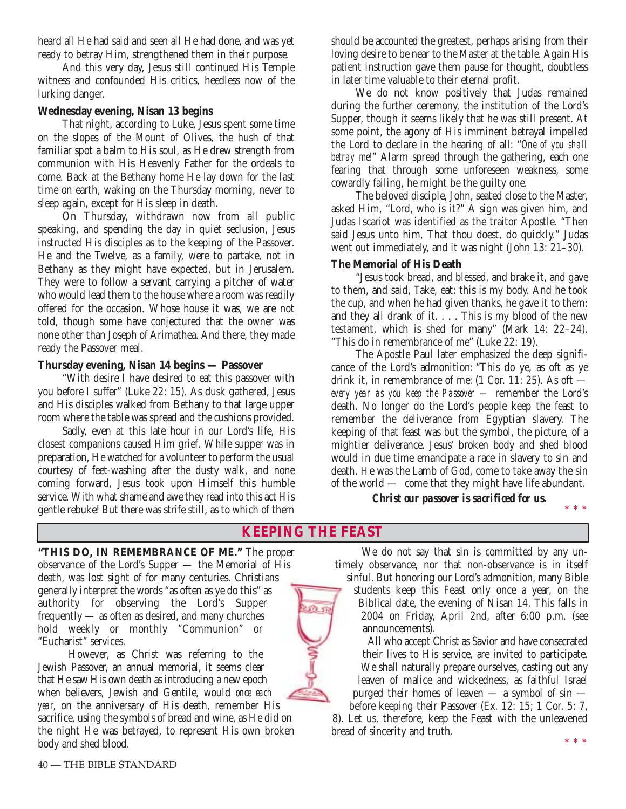heard all He had said and seen all He had done, and was yet ready to betray Him, strengthened them in their purpose.

And this very day, Jesus still continued His Temple witness and confounded His critics, heedless now of the lurking danger.

# **Wednesday evening, Nisan 13 begins**

That night, according to Luke, Jesus spent some time on the slopes of the Mount of Olives, the hush of that familiar spot a balm to His soul, as He drew strength from communion with His Heavenly Father for the ordeals to come. Back at the Bethany home He lay down for the last time on earth, waking on the Thursday morning, never to sleep again, except for His sleep in death.

On Thursday, withdrawn now from all public speaking, and spending the day in quiet seclusion, Jesus instructed His disciples as to the keeping of the Passover. He and the Twelve, as a family, were to partake, not in Bethany as they might have expected, but in Jerusalem. They were to follow a servant carrying a pitcher of water who would lead them to the house where a room was readily offered for the occasion. Whose house it was, we are not told, though some have conjectured that the owner was none other than Joseph of Arimathea. And there, they made ready the Passover meal.

## **Thursday evening, Nisan 14 begins — Passover**

"With desire I have desired to eat this passover with you before I suffer" (Luke 22: 15). As dusk gathered, Jesus and His disciples walked from Bethany to that large upper room where the table was spread and the cushions provided.

Sadly, even at this late hour in our Lord's life, His closest companions caused Him grief. While supper was in preparation, He watched for a volunteer to perform the usual courtesy of feet-washing after the dusty walk, and none coming forward, Jesus took upon Himself this humble service. With what shame and awe they read into this act His gentle rebuke! But there was strife still, as to which of them should be accounted the greatest, perhaps arising from their loving desire to be near to the Master at the table. Again His patient instruction gave them pause for thought, doubtless in later time valuable to their eternal profit.

We do not know positively that Judas remained during the further ceremony, the institution of the Lord's Supper, though it seems likely that he was still present. At some point, the agony of His imminent betrayal impelled the Lord to declare in the hearing of all: "*One of you shall betray me*!" Alarm spread through the gathering, each one fearing that through some unforeseen weakness, some cowardly failing, he might be the guilty one.

The beloved disciple, John, seated close to the Master, asked Him, "Lord, who is it?" A sign was given him, and Judas Iscariot was identified as the traitor Apostle. "Then said Jesus unto him, That thou doest, do quickly." Judas went out immediately, and it was night (John 13: 21–30).

# **The Memorial of His Death**

"Jesus took bread, and blessed, and brake it, and gave to them, and said, Take, eat: this is my body. And he took the cup, and when he had given thanks, he gave it to them: and they all drank of it. . . . This is my blood of the new testament, which is shed for many" (Mark 14: 22–24). "This do in remembrance of me" (Luke 22: 19).

The Apostle Paul later emphasized the deep significance of the Lord's admonition: "This do ye, as oft as ye drink it, in remembrance of me: (1 Cor. 11: 25). As oft *every year as you keep the Passover —* remember the Lord's death. No longer do the Lord's people keep the feast to remember the deliverance from Egyptian slavery. The keeping of that feast was but the symbol, the picture, of a mightier deliverance. Jesus' broken body and shed blood would in due time emancipate a race in slavery to sin and death. He was the Lamb of God, come to take away the sin of the world — come that they might have life abundant.

# *Christ our passover is sacrificed for us.*

# **KEEPING THE FEAST**

**"THIS DO, IN REMEMBRANCE OF ME."** The proper observance of the Lord's Supper — the Memorial of His death, was lost sight of for many centuries. Christians generally interpret the words "as often as ye do this" as authority for observing the Lord's Supper frequently — as often as desired, and many churches hold weekly or monthly "Communion" or "Eucharist" services.

However, as Christ was referring to the Jewish Passover, an annual memorial, it seems clear that He saw His own death as introducing a new epoch when believers, Jewish and Gentile, would *once each year,* on the anniversary of His death, remember His sacrifice, using the symbols of bread and wine, as He did on the night He was betrayed, to represent His own broken body and shed blood.

We do not say that sin is committed by any untimely observance, nor that non-observance is in itself sinful. But honoring our Lord's admonition, many Bible

students keep this Feast only once a year, on the Biblical date, the evening of Nisan 14. This falls in 2004 on Friday, April 2nd, after 6:00 p.m. (see announcements).

All who accept Christ as Savior and have consecrated their lives to His service, are invited to participate. We shall naturally prepare ourselves, casting out any leaven of malice and wickedness, as faithful Israel purged their homes of leaven — a symbol of sin before keeping their Passover (Ex. 12: 15; 1 Cor. 5: 7,

8). Let us, therefore, keep the Feast with the unleavened bread of sincerity and truth.

\*\*\*

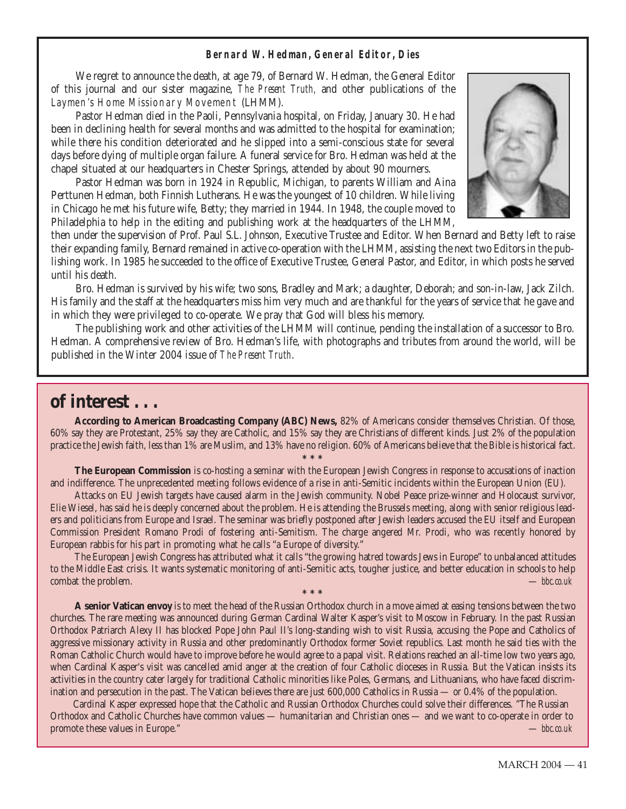#### **Bernard W. Hedman, General Editor, Dies**

We regret to announce the death, at age 79, of Bernard W. Hedman, the General Editor of this journal and our sister magazine, *The Present Truth,* and other publications of the Laymen's Home Missionary Movement (LHMM).

Pastor Hedman died in the Paoli, Pennsylvania hospital, on Friday, January 30. He had been in declining health for several months and was admitted to the hospital for examination; while there his condition deteriorated and he slipped into a semi-conscious state for several days before dying of multiple organ failure. A funeral service for Bro. Hedman was held at the chapel situated at our headquarters in Chester Springs, attended by about 90 mourners.

Pastor Hedman was born in 1924 in Republic, Michigan, to parents William and Aina Perttunen Hedman, both Finnish Lutherans. He was the youngest of 10 children. While living in Chicago he met his future wife, Betty; they married in 1944. In 1948, the couple moved to Philadelphia to help in the editing and publishing work at the headquarters of the LHMM,



then under the supervision of Prof. Paul S.L. Johnson, Executive Trustee and Editor. When Bernard and Betty left to raise their expanding family, Bernard remained in active co-operation with the LHMM, assisting the next two Editors in the publishing work. In 1985 he succeeded to the office of Executive Trustee, General Pastor, and Editor, in which posts he served until his death.

Bro. Hedman is survived by his wife; two sons, Bradley and Mark; a daughter, Deborah; and son-in-law, Jack Zilch. His family and the staff at the headquarters miss him very much and are thankful for the years of service that he gave and in which they were privileged to co-operate. We pray that God will bless his memory.

The publishing work and other activities of the LHMM will continue, pending the installation of a successor to Bro. Hedman. A comprehensive review of Bro. Hedman's life, with photographs and tributes from around the world, will be published in the Winter 2004 issue of *The Present Truth*.

# **of interest . . .**

**According to American Broadcasting Company (ABC) News,** 82% of Americans consider themselves Christian. Of those, 60% say they are Protestant, 25% say they are Catholic, and 15% say they are Christians of different kinds. Just 2% of the population practice the Jewish faith, less than 1% are Muslim, and 13% have no religion. 60% of Americans believe that the Bible is historical fact.

**\*\*\* The European Commission** is co-hosting a seminar with the European Jewish Congress in response to accusations of inaction and indifference. The unprecedented meeting follows evidence of a rise in anti-Semitic incidents within the European Union (EU).

Attacks on EU Jewish targets have caused alarm in the Jewish community. Nobel Peace prize-winner and Holocaust survivor, Elie Wiesel, has said he is deeply concerned about the problem. He is attending the Brussels meeting, along with senior religious leaders and politicians from Europe and Israel. The seminar was briefly postponed after Jewish leaders accused the EU itself and European Commission President Romano Prodi of fostering anti-Semitism. The charge angered Mr. Prodi, who was recently honored by European rabbis for his part in promoting what he calls "a Europe of diversity."

The European Jewish Congress has attributed what it calls "the growing hatred towards Jews in Europe" to unbalanced attitudes to the Middle East crisis. It wants systematic monitoring of anti-Semitic acts, tougher justice, and better education in schools to help combat the problem. — *bbc.co.uk*

**\*\*\***

**A senior Vatican envoy** is to meet the head of the Russian Orthodox church in a move aimed at easing tensions between the two churches. The rare meeting was announced during German Cardinal Walter Kasper's visit to Moscow in February. In the past Russian Orthodox Patriarch Alexy II has blocked Pope John Paul II's long-standing wish to visit Russia, accusing the Pope and Catholics of aggressive missionary activity in Russia and other predominantly Orthodox former Soviet republics. Last month he said ties with the Roman Catholic Church would have to improve before he would agree to a papal visit. Relations reached an all-time low two years ago, when Cardinal Kasper's visit was cancelled amid anger at the creation of four Catholic dioceses in Russia. But the Vatican insists its activities in the country cater largely for traditional Catholic minorities like Poles, Germans, and Lithuanians, who have faced discrimination and persecution in the past. The Vatican believes there are just 600,000 Catholics in Russia — or 0.4% of the population.

Cardinal Kasper expressed hope that the Catholic and Russian Orthodox Churches could solve their differences. "The Russian Orthodox and Catholic Churches have common values — humanitarian and Christian ones — and we want to co-operate in order to promote these values in Europe." — *bbc.co.uk*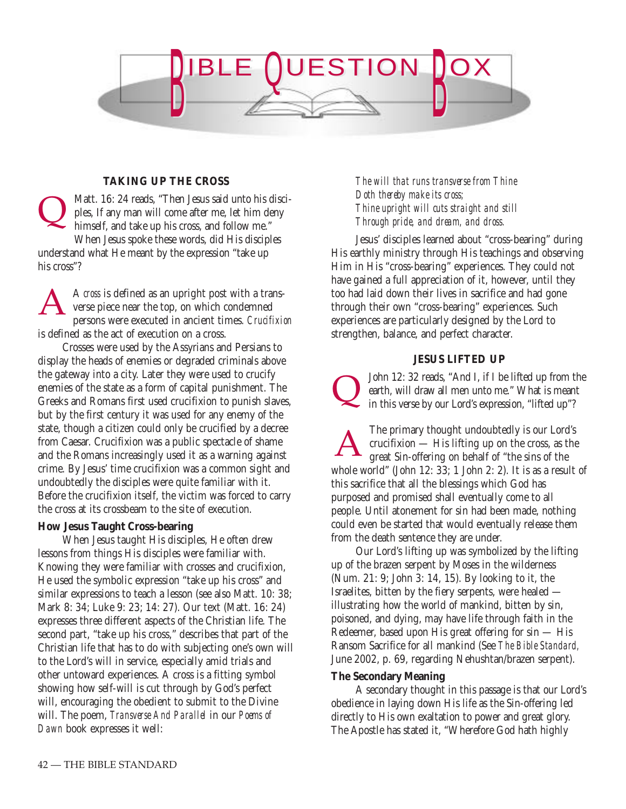

# **TAKING UP THE CROSS**

Matt. 16: 24 reads, "Then Jesus said unto his disciples, If any man will come after me, let him deny himself, and take up his cross, and follow me." When Jesus spoke these words, did His disciples understand what He meant by the expression "take up his cross"?  $\overline{\mathsf{Q}}$ 

A *cross* is defined as an upright post with a transverse piece near the top, on which condemned persons were executed in ancient times. *Crucifixion* is defined as the act of execution on a cross. A

Crosses were used by the Assyrians and Persians to display the heads of enemies or degraded criminals above the gateway into a city. Later they were used to crucify enemies of the state as a form of capital punishment. The Greeks and Romans first used crucifixion to punish slaves, but by the first century it was used for any enemy of the state, though a citizen could only be crucified by a decree from Caesar. Crucifixion was a public spectacle of shame and the Romans increasingly used it as a warning against crime. By Jesus' time crucifixion was a common sight and undoubtedly the disciples were quite familiar with it. Before the crucifixion itself, the victim was forced to carry the cross at its crossbeam to the site of execution.

#### **How Jesus Taught Cross-bearing**

When Jesus taught His disciples, He often drew lessons from things His disciples were familiar with. Knowing they were familiar with crosses and crucifixion, He used the symbolic expression "take up his cross" and similar expressions to teach a lesson (see also Matt. 10: 38; Mark 8: 34; Luke 9: 23; 14: 27). Our text (Matt. 16: 24) expresses three different aspects of the Christian life. The second part, "take up his cross," describes that part of the Christian life that has to do with subjecting one's own will to the Lord's will in service, especially amid trials and other untoward experiences. A cross is a fitting symbol showing how self-will is cut through by God's perfect will, encouraging the obedient to submit to the Divine will. The poem, *Transverse And Parallel* in our *Poems of Dawn* book expresses it well:

*The will that runs transverse from Thine Doth thereby make its cross; Thine upright will cuts straight and still Through pride, and dream, and dross.*

Jesus' disciples learned about "cross-bearing" during His earthly ministry through His teachings and observing Him in His "cross-bearing" experiences. They could not have gained a full appreciation of it, however, until they too had laid down their lives in sacrifice and had gone through their own "cross-bearing" experiences. Such experiences are particularly designed by the Lord to strengthen, balance, and perfect character.

# **JESUS LIFTED UP**

John 12: 32 reads, "And I, if I be lifted up from the earth, will draw all men unto me." What is meant in this verse by our Lord's expression, "lifted up"?  $\overline{\mathsf{Q}}$ 

The primary thought undoubtedly is our Lord's crucifixion — His lifting up on the cross, as the great Sin-offering on behalf of "the sins of the whole world" (John 12: 33; 1 John 2: 2). It is as a result of this sacrifice that all the blessings which God has purposed and promised shall eventually come to all people. Until atonement for sin had been made, nothing could even be started that would eventually release them from the death sentence they are under. A

Our Lord's lifting up was symbolized by the lifting up of the brazen serpent by Moses in the wilderness (Num. 21: 9; John 3: 14, 15). By looking to it, the Israelites, bitten by the fiery serpents, were healed illustrating how the world of mankind, bitten by sin, poisoned, and dying, may have life through faith in the Redeemer, based upon His great offering for sin — His Ransom Sacrifice for all mankind (See *The Bible Standard,* June 2002, p. 69, regarding Nehushtan/brazen serpent).

## **The Secondary Meaning**

A secondary thought in this passage is that our Lord's obedience in laying down His life as the Sin-offering led directly to His own exaltation to power and great glory. The Apostle has stated it, "Wherefore God hath highly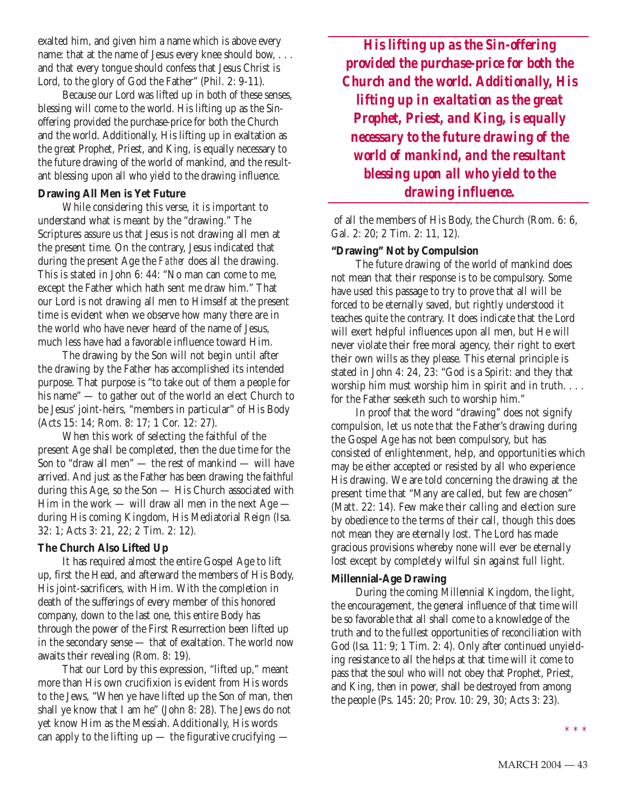exalted him, and given him a name which is above every name: that at the name of Jesus every knee should bow, . . . and that every tongue should confess that Jesus Christ is Lord, to the glory of God the Father" (Phil. 2: 9-11).

Because our Lord was lifted up in both of these senses, blessing will come to the world. His lifting up as the Sinoffering provided the purchase-price for both the Church and the world. Additionally, His lifting up in exaltation as the great Prophet, Priest, and King, is equally necessary to the future drawing of the world of mankind, and the resultant blessing upon all who yield to the drawing influence.

## **Drawing All Men is Yet Future**

While considering this verse, it is important to understand what is meant by the "drawing." The Scriptures assure us that Jesus is not drawing all men at the present time. On the contrary, Jesus indicated that during the present Age the *Father* does all the drawing. This is stated in John 6: 44: "No man can come to me, except the Father which hath sent me draw him." That our Lord is not drawing all men to Himself at the present time is evident when we observe how many there are in the world who have never heard of the name of Jesus, much less have had a favorable influence toward Him.

The drawing by the Son will not begin until after the drawing by the Father has accomplished its intended purpose. That purpose is "to take out of them a people for his name" — to gather out of the world an elect Church to be Jesus' joint-heirs, "members in particular" of His Body (Acts 15: 14; Rom. 8: 17; 1 Cor. 12: 27).

When this work of selecting the faithful of the present Age shall be completed, then the due time for the Son to "draw all men" — the rest of mankind — will have arrived. And just as the Father has been drawing the faithful during this Age, so the Son — His Church associated with Him in the work — will draw all men in the next  $Age$ during His coming Kingdom, His Mediatorial Reign (Isa. 32: 1; Acts 3: 21, 22; 2 Tim. 2: 12).

#### **The Church Also Lifted Up**

It has required almost the entire Gospel Age to lift up, first the Head, and afterward the members of His Body, His joint-sacrificers, with Him. With the completion in death of the sufferings of every member of this honored company, down to the last one, this entire Body has through the power of the First Resurrection been lifted up in the secondary sense — that of exaltation. The world now awaits their revealing (Rom. 8: 19).

That our Lord by this expression, "lifted up," meant more than His own crucifixion is evident from His words to the Jews, "When ye have lifted up the Son of man, then shall ye know that I am he" (John 8: 28). The Jews do not yet know Him as the Messiah. Additionally, His words can apply to the lifting up  $-$  the figurative crucifying  $-$ 

*His lifting up as the Sin-offering provided the purchase-price for both the Church and the world. Additionally, His lifting up in exaltation as the great Prophet, Priest, and King, is equally necessary to the future drawing of the world of mankind, and the resultant blessing upon all who yield to the drawing influence.*

of all the members of His Body, the Church (Rom. 6: 6, Gal. 2: 20; 2 Tim. 2: 11, 12).

#### **"Drawing" Not by Compulsion**

The future drawing of the world of mankind does not mean that their response is to be compulsory. Some have used this passage to try to prove that all will be forced to be eternally saved, but rightly understood it teaches quite the contrary. It does indicate that the Lord will exert helpful influences upon all men, but He will never violate their free moral agency, their right to exert their own wills as they please. This eternal principle is stated in John 4: 24, 23: "God is a Spirit: and they that worship him must worship him in spirit and in truth. . . . for the Father seeketh such to worship him."

In proof that the word "drawing" does not signify compulsion, let us note that the Father's drawing during the Gospel Age has not been compulsory, but has consisted of enlightenment, help, and opportunities which may be either accepted or resisted by all who experience His drawing. We are told concerning the drawing at the present time that "Many are called, but few are chosen" (Matt. 22: 14). Few make their calling and election sure by obedience to the terms of their call, though this does not mean they are eternally lost. The Lord has made gracious provisions whereby none will ever be eternally lost except by completely wilful sin against full light.

# **Millennial-Age Drawing**

During the coming Millennial Kingdom, the light, the encouragement, the general influence of that time will be so favorable that all shall come to a knowledge of the truth and to the fullest opportunities of reconciliation with God (Isa. 11: 9; 1 Tim. 2: 4). Only after continued unyielding resistance to all the helps at that time will it come to pass that the soul who will not obey that Prophet, Priest, and King, then in power, shall be destroyed from among the people (Ps. 145: 20; Prov. 10: 29, 30; Acts 3: 23).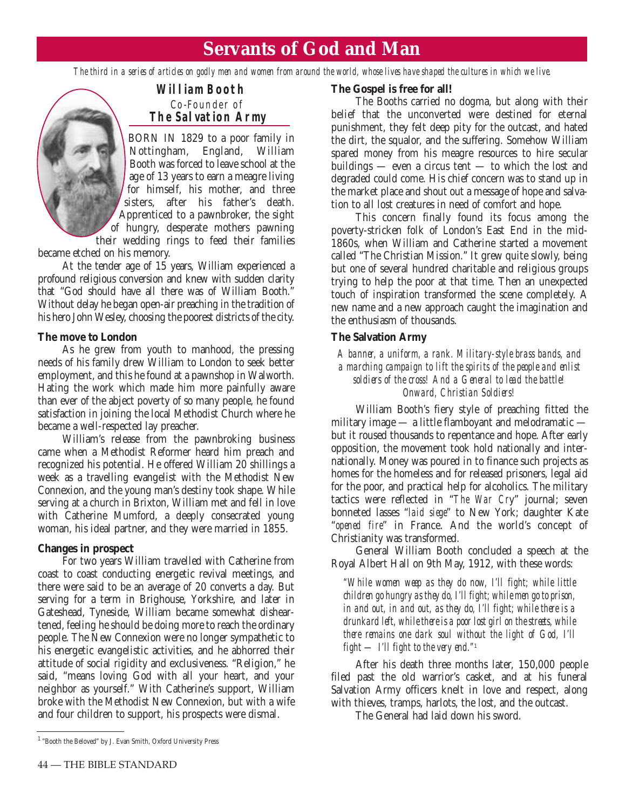# **Servants of God and Man**

*The third in a series of articles on godly men and women from around the world, whose lives have shaped the cultures in which we live.*



# **William Booth** Co-Founder of **The Salvation Army**

BORN IN 1829 to a poor family in Nottingham, England, William Booth was forced to leave school at the age of 13 years to earn a meagre living for himself, his mother, and three sisters, after his father's death. Apprenticed to a pawnbroker, the sight of hungry, desperate mothers pawning their wedding rings to feed their families

became etched on his memory.

At the tender age of 15 years, William experienced a profound religious conversion and knew with sudden clarity that "God should have all there was of William Booth." Without delay he began open-air preaching in the tradition of his hero John Wesley, choosing the poorest districts of the city.

#### **The move to London**

As he grew from youth to manhood, the pressing needs of his family drew William to London to seek better employment, and this he found at a pawnshop in Walworth. Hating the work which made him more painfully aware than ever of the abject poverty of so many people, he found satisfaction in joining the local Methodist Church where he became a well-respected lay preacher.

William's release from the pawnbroking business came when a Methodist Reformer heard him preach and recognized his potential. He offered William 20 shillings a week as a travelling evangelist with the Methodist New Connexion, and the young man's destiny took shape. While serving at a church in Brixton, William met and fell in love with Catherine Mumford, a deeply consecrated young woman, his ideal partner, and they were married in 1855.

#### **Changes in prospect**

For two years William travelled with Catherine from coast to coast conducting energetic revival meetings, and there were said to be an average of 20 converts a day. But serving for a term in Brighouse, Yorkshire, and later in Gateshead, Tyneside, William became somewhat disheartened, feeling he should be doing more to reach the ordinary people. The New Connexion were no longer sympathetic to his energetic evangelistic activities, and he abhorred their attitude of social rigidity and exclusiveness. "Religion," he said, "means loving God with all your heart, and your neighbor as yourself." With Catherine's support, William broke with the Methodist New Connexion, but with a wife and four children to support, his prospects were dismal.

#### **The Gospel is free for all!**

The Booths carried no dogma, but along with their belief that the unconverted were destined for eternal punishment, they felt deep pity for the outcast, and hated the dirt, the squalor, and the suffering. Somehow William spared money from his meagre resources to hire secular buildings — even a circus tent — to which the lost and degraded could come. His chief concern was to stand up in the market place and shout out a message of hope and salvation to all lost creatures in need of comfort and hope.

This concern finally found its focus among the poverty-stricken folk of London's East End in the mid-1860s, when William and Catherine started a movement called "The Christian Mission." It grew quite slowly, being but one of several hundred charitable and religious groups trying to help the poor at that time. Then an unexpected touch of inspiration transformed the scene completely. A new name and a new approach caught the imagination and the enthusiasm of thousands.

# **The Salvation Army**

*A banner, a uniform, a rank. Military-style brass bands, and a marching campaign to lift the spirits of the people and enlist soldiers of the cross! And a General to lead the battle! Onward, Christian Soldiers!*

William Booth's fiery style of preaching fitted the military image — a little flamboyant and melodramatic but it roused thousands to repentance and hope. After early opposition, the movement took hold nationally and internationally. Money was poured in to finance such projects as homes for the homeless and for released prisoners, legal aid for the poor, and practical help for alcoholics. The military tactics were reflected in "*The War Cr*y" journal; seven bonneted lasses "*laid siege*" to New York; daughter Kate "*opened fire*" in France. And the world's concept of Christianity was transformed.

General William Booth concluded a speech at the Royal Albert Hall on 9th May, 1912, with these words:

*"While women weep as they do now, I'll fight; while little children go hungry as they do, I'll fight; while men go to prison, in and out, in and out, as they do, I'll fight; while there is a drunkard left, while there is a poor lost girl on the streets, while there remains one dark soul without the light of God, I'll fight — I'll fight to the very end."*<sup>1</sup>

After his death three months later, 150,000 people filed past the old warrior's casket, and at his funeral Salvation Army officers knelt in love and respect, along with thieves, tramps, harlots, the lost, and the outcast.

The General had laid down his sword.

<sup>1 &</sup>quot;Booth the Beloved" by J. Evan Smith, Oxford University Press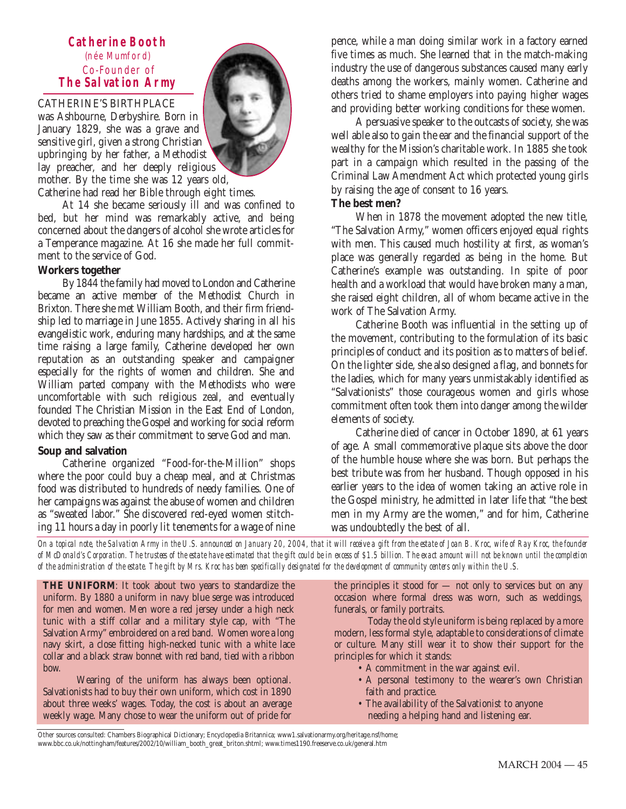# **Catherine Booth** (née Mumford) Co-Founder of **The Salvation Army**

# CATHERINE'S BIRTHPLACE

was Ashbourne, Derbyshire. Born in January 1829, she was a grave and sensitive girl, given a strong Christian upbringing by her father, a Methodist lay preacher, and her deeply religious mother. By the time she was 12 years old,

Catherine had read her Bible through eight times.

At 14 she became seriously ill and was confined to bed, but her mind was remarkably active, and being concerned about the dangers of alcohol she wrote articles for a Temperance magazine. At 16 she made her full commitment to the service of God.

#### **Workers together**

By 1844 the family had moved to London and Catherine became an active member of the Methodist Church in Brixton. There she met William Booth, and their firm friendship led to marriage in June 1855. Actively sharing in all his evangelistic work, enduring many hardships, and at the same time raising a large family, Catherine developed her own reputation as an outstanding speaker and campaigner especially for the rights of women and children. She and William parted company with the Methodists who were uncomfortable with such religious zeal, and eventually founded The Christian Mission in the East End of London, devoted to preaching the Gospel and working for social reform which they saw as their commitment to serve God and man.

## **Soup and salvation**

Catherine organized "Food-for-the-Million" shops where the poor could buy a cheap meal, and at Christmas food was distributed to hundreds of needy families. One of her campaigns was against the abuse of women and children as "sweated labor." She discovered red-eyed women stitching 11 hours a day in poorly lit tenements for a wage of nine pence, while a man doing similar work in a factory earned five times as much. She learned that in the match-making industry the use of dangerous substances caused many early deaths among the workers, mainly women. Catherine and others tried to shame employers into paying higher wages and providing better working conditions for these women.

A persuasive speaker to the outcasts of society, she was well able also to gain the ear and the financial support of the wealthy for the Mission's charitable work. In 1885 she took part in a campaign which resulted in the passing of the Criminal Law Amendment Act which protected young girls by raising the age of consent to 16 years.

# **The best men?**

When in 1878 the movement adopted the new title, "The Salvation Army," women officers enjoyed equal rights with men. This caused much hostility at first, as woman's place was generally regarded as being in the home. But Catherine's example was outstanding. In spite of poor health and a workload that would have broken many a man, she raised eight children, all of whom became active in the work of The Salvation Army.

Catherine Booth was influential in the setting up of the movement, contributing to the formulation of its basic principles of conduct and its position as to matters of belief. On the lighter side, she also designed a flag, and bonnets for the ladies, which for many years unmistakably identified as "Salvationists" those courageous women and girls whose commitment often took them into danger among the wilder elements of society.

Catherine died of cancer in October 1890, at 61 years of age. A small commemorative plaque sits above the door of the humble house where she was born. But perhaps the best tribute was from her husband. Though opposed in his earlier years to the idea of women taking an active role in the Gospel ministry, he admitted in later life that "the best men in my Army are the women," and for him, Catherine was undoubtedly the best of all.

*On a topical note, the Salvation Army in the U.S. announced on January 20, 2004, that it will receive a gift from the estate of Joan B. Kroc, wife of Ray Kroc, the founder of McDonald's Corporation. The trustees of the estate have estimated that the gift could be in excess of \$1.5 billion. The exact amount will not be known until the completion of the administration of the estate. The gift by Mrs. Kroc has been specifically designated for the development of community centers only within the U.S.*

**THE UNIFORM**: It took about two years to standardize the uniform. By 1880 a uniform in navy blue serge was introduced for men and women. Men wore a red jersey under a high neck tunic with a stiff collar and a military style cap, with "The Salvation Army" embroidered on a red band. Women wore a long navy skirt, a close fitting high-necked tunic with a white lace collar and a black straw bonnet with red band, tied with a ribbon bow.

Wearing of the uniform has always been optional. Salvationists had to buy their own uniform, which cost in 1890 about three weeks' wages. Today, the cost is about an average weekly wage. Many chose to wear the uniform out of pride for

the principles it stood for — not only to services but on any occasion where formal dress was worn, such as weddings, funerals, or family portraits.

Today the old style uniform is being replaced by a more modern, less formal style, adaptable to considerations of climate or culture. Many still wear it to show their support for the principles for which it stands:

- A commitment in the war against evil.
- A personal testimony to the wearer's own Christian faith and practice.
- The availability of the Salvationist to anyone needing a helping hand and listening ear.

Other sources consulted: Chambers Biographical Dictionary; Encyclopedia Britannica; www1.salvationarmy.org/heritage.nsf/home; www.bbc.co.uk/nottingham/features/2002/10/william\_booth\_great\_briton.shtml; www.times1190.freeserve.co.uk/general.htm

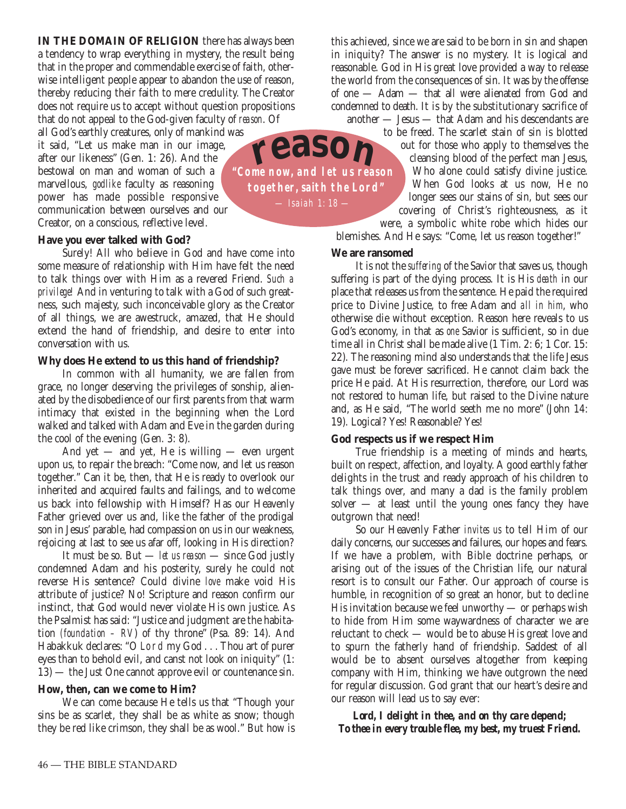**IN THE DOMAIN OF RELIGION** there has always been a tendency to wrap everything in mystery, the result being that in the proper and commendable exercise of faith, otherwise intelligent people appear to abandon the use of reason, thereby reducing their faith to mere credulity. The Creator does not require us to accept without question propositions that do not appeal to the God-given faculty of *reason*. Of

all God's earthly creatures, only of mankind was it said, "Let us make man in our image, after our likeness" (Gen. 1: 26). And the bestowal on man and woman of such a marvellous, *godlike* faculty as reasoning power has made possible responsive communication between ourselves and our Creator, on a conscious, reflective level.

#### **Have you ever talked with God?**

Surely! All who believe in God and have come into some measure of relationship with Him have felt the need to talk things over with Him as a revered Friend. *Such a privilege!* And in venturing to talk with a God of such greatness, such majesty, such inconceivable glory as the Creator of all things, we are awestruck, amazed, that He should extend the hand of friendship, and desire to enter into conversation with us.

#### **Why does He extend to us this hand of friendship?**

In common with all humanity, we are fallen from grace, no longer deserving the privileges of sonship, alienated by the disobedience of our first parents from that warm intimacy that existed in the beginning when the Lord walked and talked with Adam and Eve in the garden during the cool of the evening (Gen. 3: 8).

And yet — and yet, He is willing — even urgent upon us, to repair the breach: "Come now, and let us reason together." Can it be, then, that He is ready to overlook our inherited and acquired faults and failings, and to welcome us back into fellowship with Himself? Has our Heavenly Father grieved over us and, like the father of the prodigal son in Jesus' parable, had compassion on us in our weakness, rejoicing at last to see us afar off, looking in His direction?

It must be so. But — *let us reason* — since God justly condemned Adam and his posterity, surely he could not reverse His sentence? Could divine *love* make void His attribute of justice? No! Scripture and reason confirm our instinct, that God would never violate His own justice. As the Psalmist has said: "Justice and judgment are the habitation *(foundation – RV*) of thy throne" (Psa. 89: 14). And Habakkuk declares: "O Lord my God . . . Thou art of purer eyes than to behold evil, and canst not look on iniquity" (1: 13) — the Just One cannot approve evil or countenance sin.

## **How, then, can we come to Him?**

We can come because He tells us that "Though your sins be as scarlet, they shall be as white as snow; though they be red like crimson, they shall be as wool." But how is this achieved, since we are said to be born in sin and shapen in iniquity? The answer is no mystery. It is logical and reasonable. God in His great love provided a way to release the world from the consequences of sin. It was by the offense of one — Adam — that all were alienated from God and condemned to death. It is by the substitutionary sacrifice of

another — Jesus — that Adam and his descendants are

to be freed. The scarlet stain of sin is blotted out for those who apply to themselves the

cleansing blood of the perfect man Jesus, Who alone could satisfy divine justice. When God looks at us now, He no longer sees our stains of sin, but sees our covering of Christ's righteousness, as it were, a symbolic white robe which hides our

blemishes. And He says: "Come, let us reason together!"

#### **We are ransomed**

It is not the *suffering* of the Savior that saves us, though suffering is part of the dying process. It is His *death* in our place that releases us from the sentence. He paid the required price to Divine Justice, to free Adam and *all in him*, who otherwise die without exception. Reason here reveals to us God's economy, in that as *one* Savior is sufficient, so in due time all in Christ shall be made alive (1 Tim. 2: 6; 1 Cor. 15: 22). The reasoning mind also understands that the life Jesus gave must be forever sacrificed. He cannot claim back the price He paid. At His resurrection, therefore, our Lord was not restored to human life, but raised to the Divine nature and, as He said, "The world seeth me no more" (John 14: 19). Logical? Yes! Reasonable? Yes!

#### **God respects us if we respect Him**

True friendship is a meeting of minds and hearts, built on respect, affection, and loyalty. A good earthly father delights in the trust and ready approach of his children to talk things over, and many a dad is the family problem solver — at least until the young ones fancy they have outgrown that need!

So our Heavenly Father *invites us* to tell Him of our daily concerns, our successes and failures, our hopes and fears. If we have a problem, with Bible doctrine perhaps, or arising out of the issues of the Christian life, our natural resort is to consult our Father. Our approach of course is humble, in recognition of so great an honor, but to decline His invitation because we feel unworthy — or perhaps wish to hide from Him some waywardness of character we are reluctant to check — would be to abuse His great love and to spurn the fatherly hand of friendship. Saddest of all would be to absent ourselves altogether from keeping company with Him, thinking we have outgrown the need for regular discussion. God grant that our heart's desire and our reason will lead us to say ever:

*Lord, I delight in thee, and on thy care depend; To thee in every trouble flee, my best, my truest Friend.*

**"Come now, and let us reason together, saith the Lord"** — Isaiah 1: 18 **reason**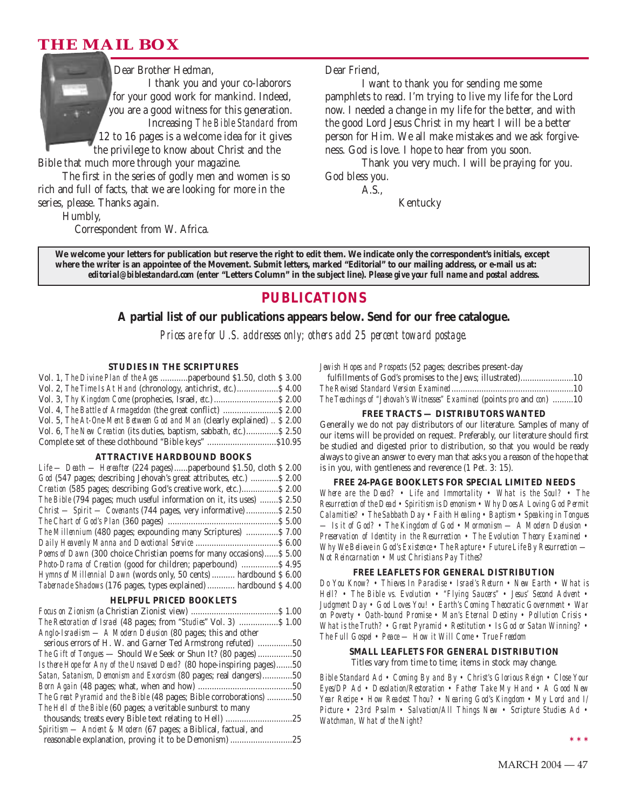# **THE MAIL BOX**



Bible that much more through your magazine.

The first in the series of godly men and women is so rich and full of facts, that we are looking for more in the series, please. Thanks again.

Humbly,

Correspondent from W. Africa.

Dear Friend,

I want to thank you for sending me some pamphlets to read. I'm trying to live my life for the Lord now. I needed a change in my life for the better, and with the good Lord Jesus Christ in my heart I will be a better person for Him. We all make mistakes and we ask forgiveness. God is love. I hope to hear from you soon.

Thank you very much. I will be praying for you. God bless you.

A.S.,

Kentucky

**We welcome your letters for publication but reserve the right to edit them. We indicate only the correspondent's initials, except where the writer is an appointee of the Movement. Submit letters, marked "Editorial" to our mailing address, or e-mail us at:** *editorial@biblestandard.com* **(enter "Letters Column" in the subject line).** *Please give your full name and postal address.*

# **PUBLICATIONS**

#### **A partial list of our publications appears below. Send for our free catalogue.**

*Prices are for U.S. addresses only; others add 25 percent toward postage.*

#### **STUDIES IN THE SCRIPTURES**

| Vol. 1, The Divine Plan of the Ages  paperbound \$1.50, cloth \$3.00     |  |
|--------------------------------------------------------------------------|--|
| Vol. 2, The Time Is At Hand (chronology, antichrist, etc.) \$4.00        |  |
|                                                                          |  |
| Vol. 4, The Battle of Armageddon (the great conflict)  \$ 2.00           |  |
| Vol. 5, The At-One-Ment Between God and Man (clearly explained)  \$ 2.00 |  |
| Vol. 6, The New Creation (its duties, baptism, sabbath, etc.) \$2.50     |  |
|                                                                          |  |

#### **ATTRACTIVE HARDBOUND BOOKS**

| Life - Death - Hereafter (224 pages)  paperbound \$1.50, cloth \$2.00  |
|------------------------------------------------------------------------|
| God (547 pages; describing Jehovah's great attributes, etc.)  \$2.00   |
| Creation (585 pages; describing God's creative work, etc.) \$2.00      |
| The Bible (794 pages; much useful information on it, its uses)  \$2.50 |
| Christ — Spirit — Covenants (744 pages, very informative)  \$2.50      |
|                                                                        |
| The Millennium (480 pages; expounding many Scriptures)  \$7.00         |
|                                                                        |
| Poems of Dawn (300 choice Christian poems for many occasions) \$5.00   |
| Photo-Drama of Creation (good for children; paperbound)  \$4.95        |
| Hymns of Millennial Dawn (words only, 50 cents)  hardbound \$ 6.00     |
| Tabernacle Shadows (176 pages, types explained)  hardbound \$4.00      |

#### **HELPFUL PRICED BOOKLETS**

| <i>The Restoration of Israel</i> (48 pages; from " <i>Studies</i> " Vol. 3)  \$ 1.00 |  |
|--------------------------------------------------------------------------------------|--|
| Anglo-Israelism — A Modern Delusion (80 pages; this and other                        |  |
| serious errors of H. W. and Garner Ted Armstrong refuted) 50                         |  |
| <i>The Gift of Tongues</i> — Should We Seek or Shun It? (80 pages) 50                |  |
| Is there Hope for Any of the Unsaved Dead? (80 hope-inspiring pages)50               |  |
| Satan, Satanism, Demonism and Exorcism (80 pages; real dangers)50                    |  |
|                                                                                      |  |
| The Great Pyramid and the Bible (48 pages; Bible corroborations) 50                  |  |
| The Hell of the Bible (60 pages; a veritable sunburst to many                        |  |
|                                                                                      |  |
| Spiritism — Ancient & Modern (67 pages; a Biblical, factual, and                     |  |
| reasonable explanation, proving it to be Demonism) 25                                |  |

*Jewish Hopes and Prospects* (52 pages; describes present-day

| fulfillments of God's promises to the Jews; illustrated)10              |  |
|-------------------------------------------------------------------------|--|
|                                                                         |  |
| The Teachings of "Jehovah's Witnesses" Examined (points pro and con) 10 |  |

#### **FREE TRACTS — DISTRIBUTORS WANTED**

Generally we do not pay distributors of our literature. Samples of many of our items will be provided on request. Preferably, our literature should first be studied and digested prior to distribution, so that you would be ready always to give an answer to every man that asks you a reason of the hope that is in you, with gentleness and reverence (1 Pet. 3: 15).

#### **FREE 24-PAGE BOOKLETS FOR SPECIAL LIMITED NEEDS**

*Where are the Dead? • Life and Immortality • What is the Soul? • The Resurrection of the Dead • Spiritism is Demonism • Why Does A Loving God Permit Calamities? • The Sabbath Day • Faith Healing • Baptism • Speaking in Tongues — Is it of God? • The Kingdom of God • Mormonism — A Modern Delusion • Preservation of Identity in the Resurrection • The Evolution Theory Examined • Why We Believe in God's Existence • The Rapture • Future Life By Resurrection — Not Reincarnation • Must Christians Pay Tithes?*

#### **FREE LEAFLETS FOR GENERAL DISTRIBUTION**

*Do You Know? • Thieves In Paradise • Israel's Return • New Earth • What is Hell? • The Bible vs. Evolution • "Flying Saucers" • Jesus' Second Advent • Judgment Day • God Loves You! • Earth's Coming Theocratic Government • War on Poverty • Oath-bound Promise • Man's Eternal Destiny • Pollution Crisis • What is the Truth? • Great Pyramid • Restitution • Is God or Satan Winning? • The Full Gospel • Peace — How it Will Come • True Freedom*

# **SMALL LEAFLETS FOR GENERAL DISTRIBUTION**

Titles vary from time to time; items in stock may change.

*Bible Standard Ad • Coming By and By • Christ's Glorious Reign • Close Your Eyes/DP Ad • Desolation/Restoration • Father Take My Hand • A Good New Year Recipe • How Readest Thou? • Nearing God's Kingdom • My Lord and I/ Picture • 23rd Psalm • Salvation/All Things New • Scripture Studies Ad • Watchman, What of the Night?*

**\*\*\***